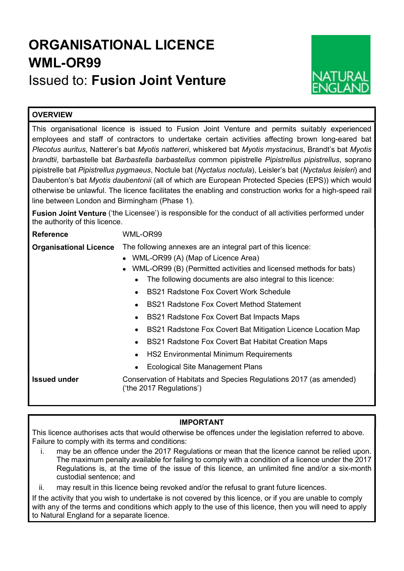# ORGANISATIONAL LICENCE WML-OR99

## Issued to: Fusion Joint Venture



## **OVERVIEW**

This organisational licence is issued to Fusion Joint Venture and permits suitably experienced employees and staff of contractors to undertake certain activities affecting brown long-eared bat Plecotus auritus, Natterer's bat Myotis nattereri, whiskered bat Myotis mystacinus, Brandt's bat Myotis brandtii, barbastelle bat Barbastella barbastellus common pipistrelle Pipistrellus pipistrellus, soprano pipistrelle bat Pipistrellus pygmaeus, Noctule bat (Nyctalus noctula), Leisler's bat (Nyctalus leisleri) and Daubenton's bat Myotis daubentonii (all of which are European Protected Species (EPS)) which would otherwise be unlawful. The licence facilitates the enabling and construction works for a high-speed rail line between London and Birmingham (Phase 1).

Fusion Joint Venture ('the Licensee') is responsible for the conduct of all activities performed under the authority of this licence.

## Reference WML-OR99

Organisational Licence The following annexes are an integral part of this licence:

- WML-OR99 (A) (Map of Licence Area)
- WML-OR99 (B) (Permitted activities and licensed methods for bats)
	- The following documents are also integral to this licence:
	- BS21 Radstone Fox Covert Work Schedule
	- BS21 Radstone Fox Covert Method Statement
	- BS21 Radstone Fox Covert Bat Impacts Maps
	- BS21 Radstone Fox Covert Bat Mitigation Licence Location Map
	- BS21 Radstone Fox Covert Bat Habitat Creation Maps
	- HS2 Environmental Minimum Requirements
	- Ecological Site Management Plans

Issued under Conservation of Habitats and Species Regulations 2017 (as amended) ('the 2017 Regulations')

## IMPORTANT

This licence authorises acts that would otherwise be offences under the legislation referred to above. Failure to comply with its terms and conditions:

- i. may be an offence under the 2017 Regulations or mean that the licence cannot be relied upon. The maximum penalty available for failing to comply with a condition of a licence under the 2017 Regulations is, at the time of the issue of this licence, an unlimited fine and/or a six-month custodial sentence; and
- ii. may result in this licence being revoked and/or the refusal to grant future licences.

If the activity that you wish to undertake is not covered by this licence, or if you are unable to comply with any of the terms and conditions which apply to the use of this licence, then you will need to apply to Natural England for a separate licence.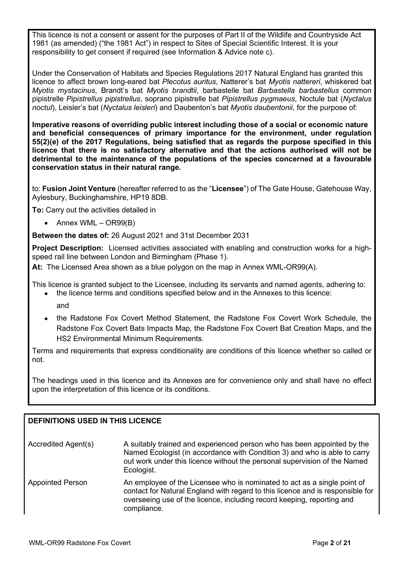This licence is not a consent or assent for the purposes of Part II of the Wildlife and Countryside Act 1981 (as amended) ("the 1981 Act") in respect to Sites of Special Scientific Interest. It is your responsibility to get consent if required (see Information & Advice note c).

Under the Conservation of Habitats and Species Regulations 2017 Natural England has granted this licence to affect brown long-eared bat Plecotus auritus, Natterer's bat Myotis nattereri, whiskered bat Myotis mystacinus, Brandt's bat Myotis brandtii, barbastelle bat Barbastella barbastellus common pipistrelle Pipistrellus pipistrellus, soprano pipistrelle bat Pipistrellus pygmaeus, Noctule bat (Nyctalus noctul), Leisler's bat (Nyctalus leisleri) and Daubenton's bat Myotis daubentonii, for the purpose of:

Imperative reasons of overriding public interest including those of a social or economic nature and beneficial consequences of primary importance for the environment, under regulation 55(2)(e) of the 2017 Regulations, being satisfied that as regards the purpose specified in this licence that there is no satisfactory alternative and that the actions authorised will not be detrimental to the maintenance of the populations of the species concerned at a favourable conservation status in their natural range.

to: Fusion Joint Venture (hereafter referred to as the "Licensee") of The Gate House, Gatehouse Way, Aylesbury, Buckinghamshire, HP19 8DB.

To: Carry out the activities detailed in

 $\bullet$  Annex WML – OR99(B)

Between the dates of: 26 August 2021 and 31st December 2031

Project Description: Licensed activities associated with enabling and construction works for a highspeed rail line between London and Birmingham (Phase 1).

At: The Licensed Area shown as a blue polygon on the map in Annex WML-OR99(A).

This licence is granted subject to the Licensee, including its servants and named agents, adhering to: the licence terms and conditions specified below and in the Annexes to this licence:

- and
- the Radstone Fox Covert Method Statement, the Radstone Fox Covert Work Schedule, the Radstone Fox Covert Bats Impacts Map, the Radstone Fox Covert Bat Creation Maps, and the HS2 Environmental Minimum Requirements.

Terms and requirements that express conditionality are conditions of this licence whether so called or not.

The headings used in this licence and its Annexes are for convenience only and shall have no effect upon the interpretation of this licence or its conditions.

## DEFINITIONS USED IN THIS LICENCE

| Accredited Agent(s) | A suitably trained and experienced person who has been appointed by the   |
|---------------------|---------------------------------------------------------------------------|
|                     | Named Ecologist (in accordance with Condition 3) and who is able to carry |
|                     | out work under this licence without the personal supervision of the Named |
|                     | Ecologist.                                                                |

Appointed Person An employee of the Licensee who is nominated to act as a single point of contact for Natural England with regard to this licence and is responsible for overseeing use of the licence, including record keeping, reporting and compliance.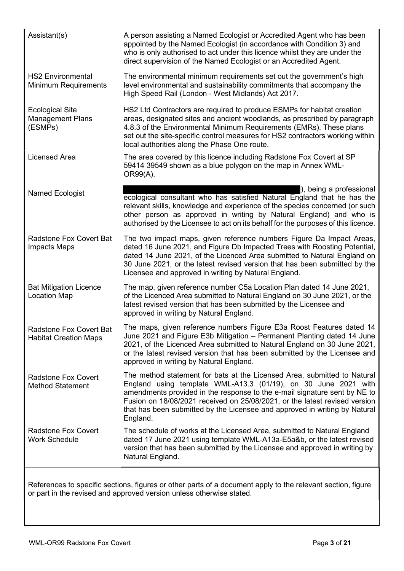| Assistant(s)                                                   | A person assisting a Named Ecologist or Accredited Agent who has been<br>appointed by the Named Ecologist (in accordance with Condition 3) and<br>who is only authorised to act under this licence whilst they are under the<br>direct supervision of the Named Ecologist or an Accredited Agent.                                                                                               |  |  |  |
|----------------------------------------------------------------|-------------------------------------------------------------------------------------------------------------------------------------------------------------------------------------------------------------------------------------------------------------------------------------------------------------------------------------------------------------------------------------------------|--|--|--|
| <b>HS2 Environmental</b><br><b>Minimum Requirements</b>        | The environmental minimum requirements set out the government's high<br>level environmental and sustainability commitments that accompany the<br>High Speed Rail (London - West Midlands) Act 2017.                                                                                                                                                                                             |  |  |  |
| <b>Ecological Site</b><br><b>Management Plans</b><br>(ESMPs)   | HS2 Ltd Contractors are required to produce ESMPs for habitat creation<br>areas, designated sites and ancient woodlands, as prescribed by paragraph<br>4.8.3 of the Environmental Minimum Requirements (EMRs). These plans<br>set out the site-specific control measures for HS2 contractors working within<br>local authorities along the Phase One route.                                     |  |  |  |
| <b>Licensed Area</b>                                           | The area covered by this licence including Radstone Fox Covert at SP<br>59414 39549 shown as a blue polygon on the map in Annex WML-<br>OR99(A).                                                                                                                                                                                                                                                |  |  |  |
| <b>Named Ecologist</b>                                         | ), being a professional<br>ecological consultant who has satisfied Natural England that he has the<br>relevant skills, knowledge and experience of the species concerned (or such<br>other person as approved in writing by Natural England) and who is<br>authorised by the Licensee to act on its behalf for the purposes of this licence.                                                    |  |  |  |
| <b>Radstone Fox Covert Bat</b><br><b>Impacts Maps</b>          | The two impact maps, given reference numbers Figure Da Impact Areas,<br>dated 16 June 2021, and Figure Db Impacted Trees with Roosting Potential,<br>dated 14 June 2021, of the Licenced Area submitted to Natural England on<br>30 June 2021, or the latest revised version that has been submitted by the<br>Licensee and approved in writing by Natural England.                             |  |  |  |
| <b>Bat Mitigation Licence</b><br><b>Location Map</b>           | The map, given reference number C5a Location Plan dated 14 June 2021,<br>of the Licenced Area submitted to Natural England on 30 June 2021, or the<br>latest revised version that has been submitted by the Licensee and<br>approved in writing by Natural England.                                                                                                                             |  |  |  |
| <b>Radstone Fox Covert Bat</b><br><b>Habitat Creation Maps</b> | The maps, given reference numbers Figure E3a Roost Features dated 14<br>June 2021 and Figure E3b Mitigation - Permanent Planting dated 14 June<br>2021, of the Licenced Area submitted to Natural England on 30 June 2021,<br>or the latest revised version that has been submitted by the Licensee and<br>approved in writing by Natural England.                                              |  |  |  |
| <b>Radstone Fox Covert</b><br><b>Method Statement</b>          | The method statement for bats at the Licensed Area, submitted to Natural<br>England using template WML-A13.3 (01/19), on 30 June 2021 with<br>amendments provided in the response to the e-mail signature sent by NE to<br>Fusion on 18/08/2021 received on 25/08/2021, or the latest revised version<br>that has been submitted by the Licensee and approved in writing by Natural<br>England. |  |  |  |
| <b>Radstone Fox Covert</b><br><b>Work Schedule</b>             | The schedule of works at the Licensed Area, submitted to Natural England<br>dated 17 June 2021 using template WML-A13a-E5a&b, or the latest revised<br>version that has been submitted by the Licensee and approved in writing by<br>Natural England.                                                                                                                                           |  |  |  |
|                                                                |                                                                                                                                                                                                                                                                                                                                                                                                 |  |  |  |

References to specific sections, figures or other parts of a document apply to the relevant section, figure or part in the revised and approved version unless otherwise stated.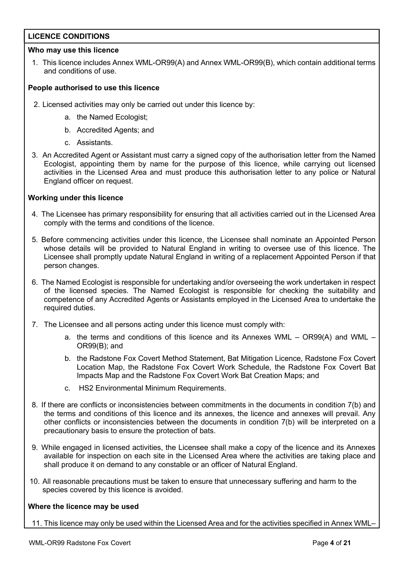## LICENCE CONDITIONS

## Who may use this licence

1. This licence includes Annex WML-OR99(A) and Annex WML-OR99(B), which contain additional terms and conditions of use.

## People authorised to use this licence

- 2. Licensed activities may only be carried out under this licence by:
	- a. the Named Ecologist;
	- b. Accredited Agents; and
	- c. Assistants.
- 3. An Accredited Agent or Assistant must carry a signed copy of the authorisation letter from the Named Ecologist, appointing them by name for the purpose of this licence, while carrying out licensed activities in the Licensed Area and must produce this authorisation letter to any police or Natural England officer on request.

## Working under this licence

- 4. The Licensee has primary responsibility for ensuring that all activities carried out in the Licensed Area comply with the terms and conditions of the licence.
- 5. Before commencing activities under this licence, the Licensee shall nominate an Appointed Person whose details will be provided to Natural England in writing to oversee use of this licence. The Licensee shall promptly update Natural England in writing of a replacement Appointed Person if that person changes.
- 6. The Named Ecologist is responsible for undertaking and/or overseeing the work undertaken in respect of the licensed species. The Named Ecologist is responsible for checking the suitability and competence of any Accredited Agents or Assistants employed in the Licensed Area to undertake the required duties.
- 7. The Licensee and all persons acting under this licence must comply with:
	- a. the terms and conditions of this licence and its Annexes WML OR99(A) and WML OR99(B); and
	- b. the Radstone Fox Covert Method Statement, Bat Mitigation Licence, Radstone Fox Covert Location Map, the Radstone Fox Covert Work Schedule, the Radstone Fox Covert Bat Impacts Map and the Radstone Fox Covert Work Bat Creation Maps; and
	- c. HS2 Environmental Minimum Requirements.
- 8. If there are conflicts or inconsistencies between commitments in the documents in condition 7(b) and the terms and conditions of this licence and its annexes, the licence and annexes will prevail. Any other conflicts or inconsistencies between the documents in condition 7(b) will be interpreted on a precautionary basis to ensure the protection of bats.
- 9. While engaged in licensed activities, the Licensee shall make a copy of the licence and its Annexes available for inspection on each site in the Licensed Area where the activities are taking place and shall produce it on demand to any constable or an officer of Natural England.
- 10. All reasonable precautions must be taken to ensure that unnecessary suffering and harm to the species covered by this licence is avoided.

### Where the licence may be used

11. This licence may only be used within the Licensed Area and for the activities specified in Annex WML–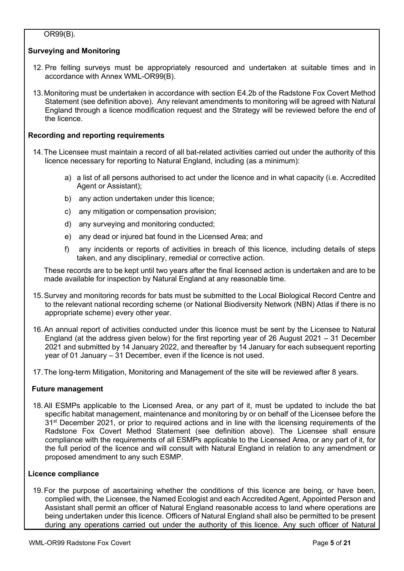## OR99(B).

## Surveying and Monitoring

- 12. Pre felling surveys must be appropriately resourced and undertaken at suitable times and in accordance with Annex WML-OR99(B).
- 13. Monitoring must be undertaken in accordance with section E4.2b of the Radstone Fox Covert Method Statement (see definition above). Any relevant amendments to monitoring will be agreed with Natural England through a licence modification request and the Strategy will be reviewed before the end of the licence.

## Recording and reporting requirements

- 14. The Licensee must maintain a record of all bat-related activities carried out under the authority of this licence necessary for reporting to Natural England, including (as a minimum):
	- a) a list of all persons authorised to act under the licence and in what capacity (i.e. Accredited Agent or Assistant);
	- b) any action undertaken under this licence;
	- c) any mitigation or compensation provision;
	- d) any surveying and monitoring conducted;
	- e) any dead or injured bat found in the Licensed Area; and
	- f) any incidents or reports of activities in breach of this licence, including details of steps taken, and any disciplinary, remedial or corrective action.

These records are to be kept until two years after the final licensed action is undertaken and are to be made available for inspection by Natural England at any reasonable time.

- 15. Survey and monitoring records for bats must be submitted to the Local Biological Record Centre and to the relevant national recording scheme (or National Biodiversity Network (NBN) Atlas if there is no appropriate scheme) every other year.
- 16. An annual report of activities conducted under this licence must be sent by the Licensee to Natural England (at the address given below) for the first reporting year of 26 August 2021 – 31 December 2021 and submitted by 14 January 2022, and thereafter by 14 January for each subsequent reporting year of 01 January – 31 December, even if the licence is not used.
- 17. The long-term Mitigation, Monitoring and Management of the site will be reviewed after 8 years.

## Future management

18. All ESMPs applicable to the Licensed Area, or any part of it, must be updated to include the bat specific habitat management, maintenance and monitoring by or on behalf of the Licensee before the 31<sup>st</sup> December 2021, or prior to required actions and in line with the licensing requirements of the Radstone Fox Covert Method Statement (see definition above). The Licensee shall ensure compliance with the requirements of all ESMPs applicable to the Licensed Area, or any part of it, for the full period of the licence and will consult with Natural England in relation to any amendment or proposed amendment to any such ESMP.

## Licence compliance

19. For the purpose of ascertaining whether the conditions of this licence are being, or have been, complied with, the Licensee, the Named Ecologist and each Accredited Agent, Appointed Person and Assistant shall permit an officer of Natural England reasonable access to land where operations are being undertaken under this licence. Officers of Natural England shall also be permitted to be present during any operations carried out under the authority of this licence. Any such officer of Natural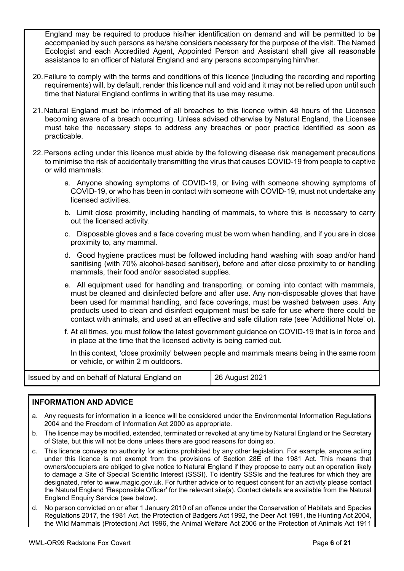England may be required to produce his/her identification on demand and will be permitted to be accompanied by such persons as he/she considers necessary for the purpose of the visit. The Named Ecologist and each Accredited Agent, Appointed Person and Assistant shall give all reasonable assistance to an officer of Natural England and any persons accompanying him/her.

- 20. Failure to comply with the terms and conditions of this licence (including the recording and reporting requirements) will, by default, render this licence null and void and it may not be relied upon until such time that Natural England confirms in writing that its use may resume.
- 21. Natural England must be informed of all breaches to this licence within 48 hours of the Licensee becoming aware of a breach occurring. Unless advised otherwise by Natural England, the Licensee must take the necessary steps to address any breaches or poor practice identified as soon as practicable.
- 22. Persons acting under this licence must abide by the following disease risk management precautions to minimise the risk of accidentally transmitting the virus that causes COVID-19 from people to captive or wild mammals:
	- a. Anyone showing symptoms of COVID-19, or living with someone showing symptoms of COVID-19, or who has been in contact with someone with COVID-19, must not undertake any licensed activities.
	- b. Limit close proximity, including handling of mammals, to where this is necessary to carry out the licensed activity.
	- c. Disposable gloves and a face covering must be worn when handling, and if you are in close proximity to, any mammal.
	- d. Good hygiene practices must be followed including hand washing with soap and/or hand sanitising (with 70% alcohol-based sanitiser), before and after close proximity to or handling mammals, their food and/or associated supplies.
	- e. All equipment used for handling and transporting, or coming into contact with mammals, must be cleaned and disinfected before and after use. Any non-disposable gloves that have been used for mammal handling, and face coverings, must be washed between uses. Any products used to clean and disinfect equipment must be safe for use where there could be contact with animals, and used at an effective and safe dilution rate (see 'Additional Note' o).
	- f. At all times, you must follow the latest government guidance on COVID-19 that is in force and in place at the time that the licensed activity is being carried out.

In this context, 'close proximity' between people and mammals means being in the same room or vehicle, or within 2 m outdoors.

| Issued by and on behalf of Natural England on | 26 August 2021 |
|-----------------------------------------------|----------------|
|-----------------------------------------------|----------------|

## INFORMATION AND ADVICE

- a. Any requests for information in a licence will be considered under the Environmental Information Regulations 2004 and the Freedom of Information Act 2000 as appropriate.
- b. The licence may be modified, extended, terminated or revoked at any time by Natural England or the Secretary of State, but this will not be done unless there are good reasons for doing so.
- c. This licence conveys no authority for actions prohibited by any other legislation. For example, anyone acting under this licence is not exempt from the provisions of Section 28E of the 1981 Act. This means that owners/occupiers are obliged to give notice to Natural England if they propose to carry out an operation likely to damage a Site of Special Scientific Interest (SSSI). To identify SSSIs and the features for which they are designated, refer to www.magic.gov.uk. For further advice or to request consent for an activity please contact the Natural England 'Responsible Officer' for the relevant site(s). Contact details are available from the Natural England Enquiry Service (see below).
- d. No person convicted on or after 1 January 2010 of an offence under the Conservation of Habitats and Species Regulations 2017, the 1981 Act, the Protection of Badgers Act 1992, the Deer Act 1991, the Hunting Act 2004, the Wild Mammals (Protection) Act 1996, the Animal Welfare Act 2006 or the Protection of Animals Act 1911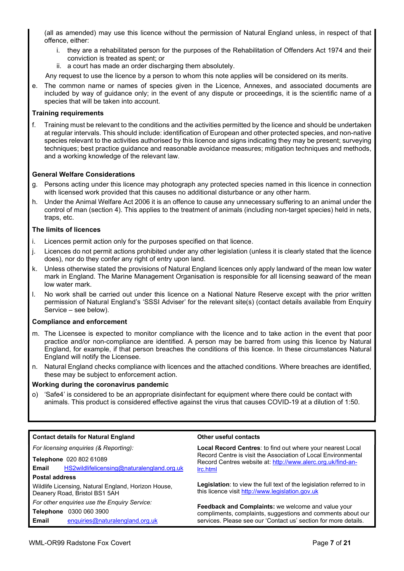(all as amended) may use this licence without the permission of Natural England unless, in respect of that offence, either:

- i. they are a rehabilitated person for the purposes of the Rehabilitation of Offenders Act 1974 and their conviction is treated as spent; or
- ii. a court has made an order discharging them absolutely.

Any request to use the licence by a person to whom this note applies will be considered on its merits.

e. The common name or names of species given in the Licence, Annexes, and associated documents are included by way of guidance only; in the event of any dispute or proceedings, it is the scientific name of a species that will be taken into account.

### Training requirements

f. Training must be relevant to the conditions and the activities permitted by the licence and should be undertaken at regular intervals. This should include: identification of European and other protected species, and non-native species relevant to the activities authorised by this licence and signs indicating they may be present; surveying techniques; best practice guidance and reasonable avoidance measures; mitigation techniques and methods, and a working knowledge of the relevant law.

### General Welfare Considerations

- g. Persons acting under this licence may photograph any protected species named in this licence in connection with licensed work provided that this causes no additional disturbance or any other harm.
- h. Under the Animal Welfare Act 2006 it is an offence to cause any unnecessary suffering to an animal under the control of man (section 4). This applies to the treatment of animals (including non-target species) held in nets, traps, etc.

#### The limits of licences

- i. Licences permit action only for the purposes specified on that licence.
- j. Licences do not permit actions prohibited under any other legislation (unless it is clearly stated that the licence does), nor do they confer any right of entry upon land.
- k. Unless otherwise stated the provisions of Natural England licences only apply landward of the mean low water mark in England. The Marine Management Organisation is responsible for all licensing seaward of the mean low water mark.
- l. No work shall be carried out under this licence on a National Nature Reserve except with the prior written permission of Natural England's 'SSSI Adviser' for the relevant site(s) (contact details available from Enquiry Service – see below).

#### Compliance and enforcement

- m. The Licensee is expected to monitor compliance with the licence and to take action in the event that poor practice and/or non-compliance are identified. A person may be barred from using this licence by Natural England, for example, if that person breaches the conditions of this licence. In these circumstances Natural England will notify the Licensee.
- n. Natural England checks compliance with licences and the attached conditions. Where breaches are identified, these may be subject to enforcement action.

#### Working during the coronavirus pandemic

o) 'Safe4' is considered to be an appropriate disinfectant for equipment where there could be contact with animals. This product is considered effective against the virus that causes COVID-19 at a dilution of 1:50.

| <b>Contact details for Natural England</b>                                           | Other useful contacts                                                                                                                                                                       |  |  |  |  |
|--------------------------------------------------------------------------------------|---------------------------------------------------------------------------------------------------------------------------------------------------------------------------------------------|--|--|--|--|
| For licensing enquiries (& Reporting):                                               | <b>Local Record Centres:</b> to find out where your nearest Local                                                                                                                           |  |  |  |  |
| Telephone 020 802 61089                                                              | Record Centre is visit the Association of Local Environmental<br>Record Centres website at: http://www.alerc.org.uk/find-an-                                                                |  |  |  |  |
| HS2wildlifelicensing@naturalengland.org.uk<br>Email                                  | Irc.html                                                                                                                                                                                    |  |  |  |  |
| <b>Postal address</b>                                                                |                                                                                                                                                                                             |  |  |  |  |
| Wildlife Licensing, Natural England, Horizon House,<br>Deanery Road, Bristol BS1 5AH | Legislation: to view the full text of the legislation referred to in<br>this licence visit http://www.legislation.gov.uk                                                                    |  |  |  |  |
| For other enquiries use the Enquiry Service:                                         |                                                                                                                                                                                             |  |  |  |  |
| 0300 060 3900<br>Telephone                                                           | <b>Feedback and Complaints:</b> we welcome and value your<br>compliments, complaints, suggestions and comments about our<br>services. Please see our 'Contact us' section for more details. |  |  |  |  |
| Email<br>enquiries@naturalengland.org.uk                                             |                                                                                                                                                                                             |  |  |  |  |
|                                                                                      |                                                                                                                                                                                             |  |  |  |  |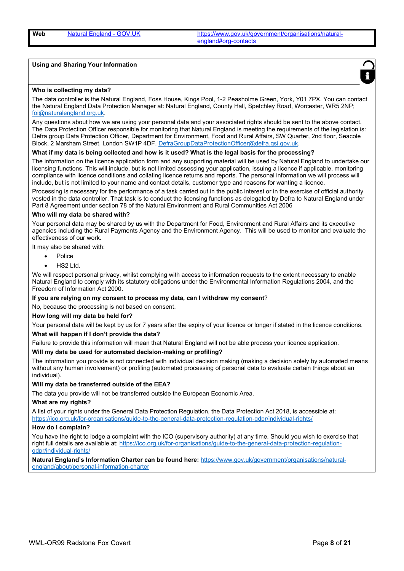Web Natural England - GOV.UK https://www.gov.uk/government/organisations/naturalengland#org-contacts

#### Using and Sharing Your Information



#### Who is collecting my data?

The data controller is the Natural England, Foss House, Kings Pool, 1-2 Peasholme Green, York, Y01 7PX. You can contact the Natural England Data Protection Manager at: Natural England, County Hall, Spetchley Road, Worcester, WR5 2NP; foi@naturalengland.org.uk.

Any questions about how we are using your personal data and your associated rights should be sent to the above contact. The Data Protection Officer responsible for monitoring that Natural England is meeting the requirements of the legislation is: Defra group Data Protection Officer, Department for Environment, Food and Rural Affairs, SW Quarter, 2nd floor, Seacole Block, 2 Marsham Street, London SW1P 4DF. DefraGroupDataProtectionOfficer@defra.gsi.gov.uk.

#### What if my data is being collected and how is it used? What is the legal basis for the processing?

The information on the licence application form and any supporting material will be used by Natural England to undertake our licensing functions. This will include, but is not limited assessing your application, issuing a licence if applicable, monitoring compliance with licence conditions and collating licence returns and reports. The personal information we will process will include, but is not limited to your name and contact details, customer type and reasons for wanting a licence.

Processing is necessary for the performance of a task carried out in the public interest or in the exercise of official authority vested in the data controller. That task is to conduct the licensing functions as delegated by Defra to Natural England under Part 8 Agreement under section 78 of the Natural Environment and Rural Communities Act 2006

#### Who will my data be shared with?

Your personal data may be shared by us with the Department for Food, Environment and Rural Affairs and its executive agencies including the Rural Payments Agency and the Environment Agency. This will be used to monitor and evaluate the effectiveness of our work.

It may also be shared with:

- Police
- HS2 Ltd.

We will respect personal privacy, whilst complying with access to information requests to the extent necessary to enable Natural England to comply with its statutory obligations under the Environmental Information Regulations 2004, and the Freedom of Information Act 2000.

If you are relying on my consent to process my data, can I withdraw my consent?

No, because the processing is not based on consent.

#### How long will my data be held for?

Your personal data will be kept by us for 7 years after the expiry of your licence or longer if stated in the licence conditions.

#### What will happen if I don't provide the data?

Failure to provide this information will mean that Natural England will not be able process your licence application.

#### Will my data be used for automated decision-making or profiling?

The information you provide is not connected with individual decision making (making a decision solely by automated means without any human involvement) or profiling (automated processing of personal data to evaluate certain things about an individual).

#### Will my data be transferred outside of the EEA?

The data you provide will not be transferred outside the European Economic Area.

#### What are my rights?

A list of your rights under the General Data Protection Regulation, the Data Protection Act 2018, is accessible at: https://ico.org.uk/for-organisations/guide-to-the-general-data-protection-regulation-gdpr/individual-rights/

#### How do I complain?

You have the right to lodge a complaint with the ICO (supervisory authority) at any time. Should you wish to exercise that right full details are available at: https://ico.org.uk/for-organisations/guide-to-the-general-data-protection-regulationgdpr/individual-rights/

Natural England's Information Charter can be found here: https://www.gov.uk/government/organisations/naturalengland/about/personal-information-charter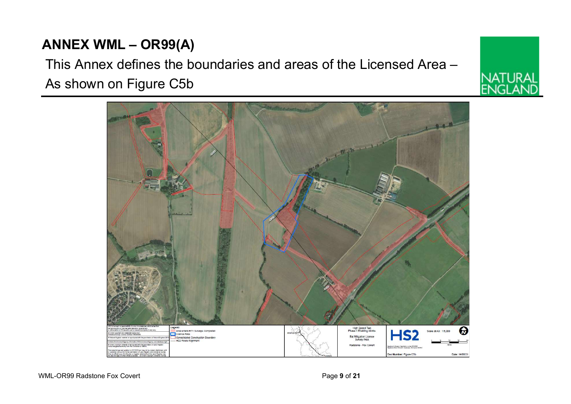## ANNEX WML – OR99(A)

## This Annex defines the boundaries and areas of the Licensed Area – As shown on Figure C5b



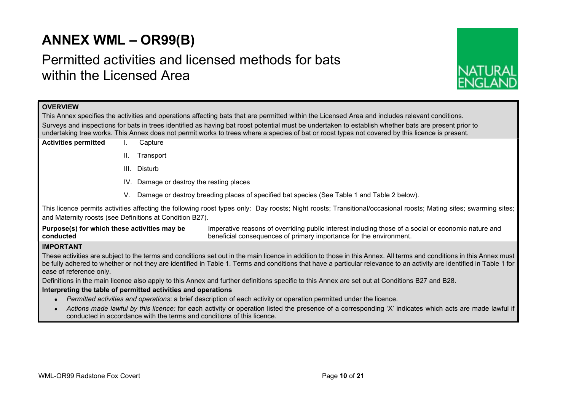## ANNEX WML – OR99(B)

## Permitted activities and licensed methods for bats within the Licensed Area



## **OVERVIEW**

This Annex specifies the activities and operations affecting bats that are permitted within the Licensed Area and includes relevant conditions. Surveys and inspections for bats in trees identified as having bat roost potential must be undertaken to establish whether bats are present prior to undertaking tree works. This Annex does not permit works to trees where a species of bat or roost types not covered by this licence is present.

- Activities permitted I. Capture
	- II. Transport
	- III. Disturb
	- IV. Damage or destroy the resting places
	- V. Damage or destroy breeding places of specified bat species (See Table 1 and Table 2 below).

This licence permits activities affecting the following roost types only: Day roosts; Night roosts; Transitional/occasional roosts; Mating sites; swarming sites; and Maternity roosts (see Definitions at Condition B27).

Purpose(s) for which these activities may be conducted Imperative reasons of overriding public interest including those of a social or economic nature and beneficial consequences of primary importance for the environment.

## IMPORTANT

These activities are subject to the terms and conditions set out in the main licence in addition to those in this Annex. All terms and conditions in this Annex must be fully adhered to whether or not they are identified in Table 1. Terms and conditions that have a particular relevance to an activity are identified in Table 1 for ease of reference only.

Definitions in the main licence also apply to this Annex and further definitions specific to this Annex are set out at Conditions B27 and B28.

## Interpreting the table of permitted activities and operations

- Permitted activities and operations: a brief description of each activity or operation permitted under the licence.
- Actions made lawful by this licence: for each activity or operation listed the presence of a corresponding 'X' indicates which acts are made lawful if conducted in accordance with the terms and conditions of this licence.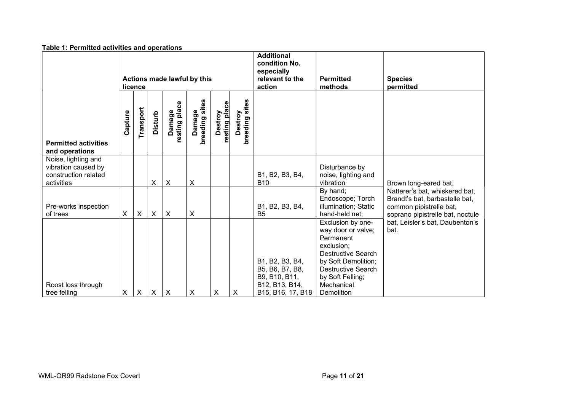| Table 1: Permitted activities and operations                                     |                                        |                           |                |                           |                           |                          |                                                                               |                                                                                            |                                                                                                                                                                                                     |                                                                                                                                 |
|----------------------------------------------------------------------------------|----------------------------------------|---------------------------|----------------|---------------------------|---------------------------|--------------------------|-------------------------------------------------------------------------------|--------------------------------------------------------------------------------------------|-----------------------------------------------------------------------------------------------------------------------------------------------------------------------------------------------------|---------------------------------------------------------------------------------------------------------------------------------|
|                                                                                  | Actions made lawful by this<br>licence |                           |                |                           |                           |                          | <b>Additional</b><br>condition No.<br>especially<br>relevant to the<br>action | <b>Permitted</b><br>methods                                                                | <b>Species</b><br>permitted                                                                                                                                                                         |                                                                                                                                 |
| <b>Permitted activities</b><br>and operations                                    | Capture                                | Transport                 | <b>Disturb</b> | Damage<br>resting place   | Damage<br>breeding sites  | Destroy<br>resting place | Destroy<br>breeding sites                                                     |                                                                                            |                                                                                                                                                                                                     |                                                                                                                                 |
| Noise, lighting and<br>vibration caused by<br>construction related<br>activities |                                        |                           | $\pmb{\times}$ | $\boldsymbol{\mathsf{X}}$ | $\boldsymbol{\mathsf{X}}$ |                          |                                                                               | B1, B2, B3, B4,<br><b>B10</b>                                                              | Disturbance by<br>noise, lighting and<br>vibration                                                                                                                                                  | Brown long-eared bat,                                                                                                           |
| Pre-works inspection<br>of trees                                                 | X                                      | $\boldsymbol{\mathsf{X}}$ | X              | $\boldsymbol{\mathsf{X}}$ | $\boldsymbol{\mathsf{X}}$ |                          |                                                                               | B1, B2, B3, B4,<br>B <sub>5</sub>                                                          | By hand;<br>Endoscope; Torch<br>illumination; Static<br>hand-held net;                                                                                                                              | Natterer's bat, whiskered bat,<br>Brandt's bat, barbastelle bat,<br>common pipistrelle bat,<br>soprano pipistrelle bat, noctule |
| Roost loss through<br>tree felling                                               | X                                      | $\times$                  | X              | $\boldsymbol{\mathsf{X}}$ | X                         | X                        | X                                                                             | B1, B2, B3, B4,<br>B5, B6, B7, B8,<br>B9, B10, B11,<br>B12, B13, B14,<br>B15, B16, 17, B18 | Exclusion by one-<br>way door or valve;<br>Permanent<br>exclusion;<br><b>Destructive Search</b><br>by Soft Demolition;<br><b>Destructive Search</b><br>by Soft Felling;<br>Mechanical<br>Demolition | bat, Leisler's bat, Daubenton's<br>bat.                                                                                         |

### Table 1: Permitted activities and operations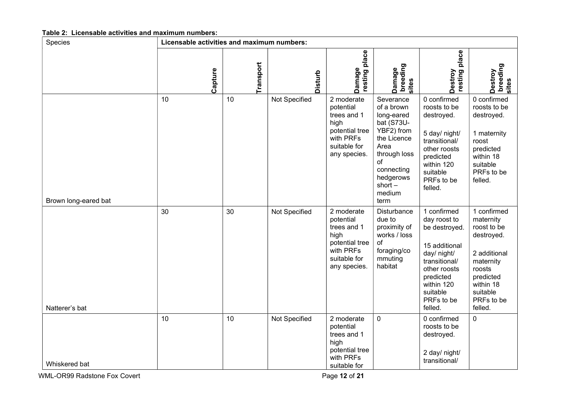| Species              | Licensable activities and maximum numbers: |           |               |                                                                                                               |                                                                                                                                                                          |                                                                                                                                                                               |                                                                                                                                                             |
|----------------------|--------------------------------------------|-----------|---------------|---------------------------------------------------------------------------------------------------------------|--------------------------------------------------------------------------------------------------------------------------------------------------------------------------|-------------------------------------------------------------------------------------------------------------------------------------------------------------------------------|-------------------------------------------------------------------------------------------------------------------------------------------------------------|
|                      | Capture                                    | Transport | Disturb       | place<br>Damage<br>  resting                                                                                  | Damage<br>breeding<br>sites                                                                                                                                              | place<br>Destroy<br>resting                                                                                                                                                   | Destroy<br>breeding<br>sites                                                                                                                                |
| Brown long-eared bat | 10                                         | 10        | Not Specified | 2 moderate<br>potential<br>trees and 1<br>high<br>potential tree<br>with PRFs<br>suitable for<br>any species. | Severance<br>of a brown<br>long-eared<br>bat (S73U-<br>YBF2) from<br>the Licence<br>Area<br>through loss<br>οf<br>connecting<br>hedgerows<br>short $-$<br>medium<br>term | 0 confirmed<br>roosts to be<br>destroyed.<br>5 day/ night/<br>transitional/<br>other roosts<br>predicted<br>within 120<br>suitable<br>PRFs to be<br>felled.                   | 0 confirmed<br>roosts to be<br>destroyed.<br>1 maternity<br>roost<br>predicted<br>within 18<br>suitable<br>PRFs to be<br>felled.                            |
| Natterer's bat       | 30                                         | 30        | Not Specified | 2 moderate<br>potential<br>trees and 1<br>high<br>potential tree<br>with PRFs<br>suitable for<br>any species. | Disturbance<br>due to<br>proximity of<br>works / loss<br>of<br>foraging/co<br>mmuting<br>habitat                                                                         | 1 confirmed<br>day roost to<br>be destroyed.<br>15 additional<br>day/ night/<br>transitional/<br>other roosts<br>predicted<br>within 120<br>suitable<br>PRFs to be<br>felled. | 1 confirmed<br>maternity<br>roost to be<br>destroyed.<br>2 additional<br>maternity<br>roosts<br>predicted<br>within 18<br>suitable<br>PRFs to be<br>felled. |
| Whiskered bat        | 10                                         | 10        | Not Specified | 2 moderate<br>potential<br>trees and 1<br>high<br>potential tree<br>with PRFs<br>suitable for                 | $\mathbf 0$                                                                                                                                                              | 0 confirmed<br>roosts to be<br>destroyed.<br>2 day/ night/<br>transitional/                                                                                                   | $\pmb{0}$                                                                                                                                                   |

### Table 2: Licensable activities and maximum numbers: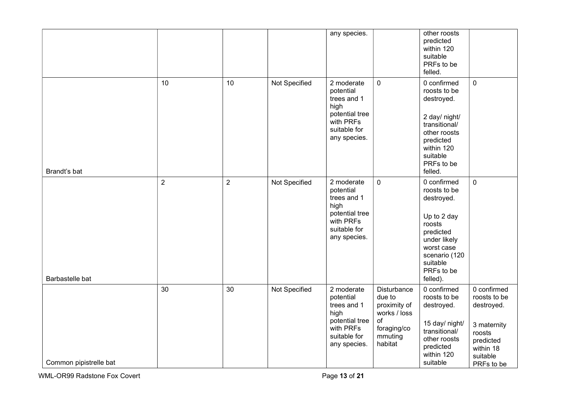|                        |                |                |               | any species.                                                                                                  |                                                                                                         | other roosts<br>predicted<br>within 120<br>suitable<br>PRFs to be<br>felled.                                                                                         |                                                                                                                        |
|------------------------|----------------|----------------|---------------|---------------------------------------------------------------------------------------------------------------|---------------------------------------------------------------------------------------------------------|----------------------------------------------------------------------------------------------------------------------------------------------------------------------|------------------------------------------------------------------------------------------------------------------------|
| Brandt's bat           | 10             | 10             | Not Specified | 2 moderate<br>potential<br>trees and 1<br>high<br>potential tree<br>with PRFs<br>suitable for<br>any species. | $\mathbf 0$                                                                                             | 0 confirmed<br>roosts to be<br>destroyed.<br>2 day/ night/<br>transitional/<br>other roosts<br>predicted<br>within 120<br>suitable<br>PRFs to be<br>felled.          | $\pmb{0}$                                                                                                              |
| Barbastelle bat        | $\overline{2}$ | $\overline{2}$ | Not Specified | 2 moderate<br>potential<br>trees and 1<br>high<br>potential tree<br>with PRFs<br>suitable for<br>any species. | $\mathbf 0$                                                                                             | 0 confirmed<br>roosts to be<br>destroyed.<br>Up to 2 day<br>roosts<br>predicted<br>under likely<br>worst case<br>scenario (120<br>suitable<br>PRFs to be<br>felled). | $\pmb{0}$                                                                                                              |
| Common pipistrelle bat | 30             | 30             | Not Specified | 2 moderate<br>potential<br>trees and 1<br>high<br>potential tree<br>with PRFs<br>suitable for<br>any species. | <b>Disturbance</b><br>due to<br>proximity of<br>works / loss<br>of<br>foraging/co<br>mmuting<br>habitat | 0 confirmed<br>roosts to be<br>destroyed.<br>15 day/ night/<br>transitional/<br>other roosts<br>predicted<br>within 120<br>suitable                                  | 0 confirmed<br>roosts to be<br>destroyed.<br>3 maternity<br>roosts<br>predicted<br>within 18<br>suitable<br>PRFs to be |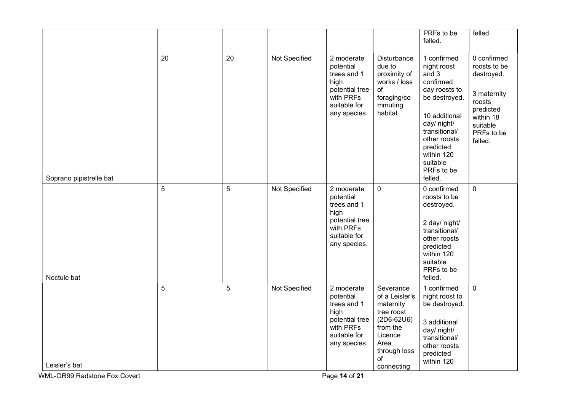|                         |    |                |               |                                                                                                               |                                                                                                                                           | PRFs to be<br>felled.                                                                                                                                                                                               | felled.                                                                                                                           |
|-------------------------|----|----------------|---------------|---------------------------------------------------------------------------------------------------------------|-------------------------------------------------------------------------------------------------------------------------------------------|---------------------------------------------------------------------------------------------------------------------------------------------------------------------------------------------------------------------|-----------------------------------------------------------------------------------------------------------------------------------|
| Soprano pipistrelle bat | 20 | 20             | Not Specified | 2 moderate<br>potential<br>trees and 1<br>high<br>potential tree<br>with PRFs<br>suitable for<br>any species. | Disturbance<br>due to<br>proximity of<br>works / loss<br>of<br>foraging/co<br>mmuting<br>habitat                                          | 1 confirmed<br>night roost<br>and 3<br>confirmed<br>day roosts to<br>be destroyed.<br>10 additional<br>day/ night/<br>transitional/<br>other roosts<br>predicted<br>within 120<br>suitable<br>PRFs to be<br>felled. | 0 confirmed<br>roosts to be<br>destroyed.<br>3 maternity<br>roosts<br>predicted<br>within 18<br>suitable<br>PRFs to be<br>felled. |
| Noctule bat             | 5  | $\overline{5}$ | Not Specified | 2 moderate<br>potential<br>trees and 1<br>high<br>potential tree<br>with PRFs<br>suitable for<br>any species. | 0                                                                                                                                         | 0 confirmed<br>roosts to be<br>destroyed.<br>2 day/ night/<br>transitional/<br>other roosts<br>predicted<br>within 120<br>suitable<br>PRFs to be<br>felled.                                                         | $\mathsf{O}\xspace$                                                                                                               |
| Leisler's bat           | 5  | 5              | Not Specified | 2 moderate<br>potential<br>trees and 1<br>high<br>potential tree<br>with PRFs<br>suitable for<br>any species. | Severance<br>of a Leisler's<br>maternity<br>tree roost<br>$(2D6-62U6)$<br>from the<br>Licence<br>Area<br>through loss<br>of<br>connecting | 1 confirmed<br>night roost to<br>be destroyed.<br>3 additional<br>day/ night/<br>transitional/<br>other roosts<br>predicted<br>within 120                                                                           | $\mathbf 0$                                                                                                                       |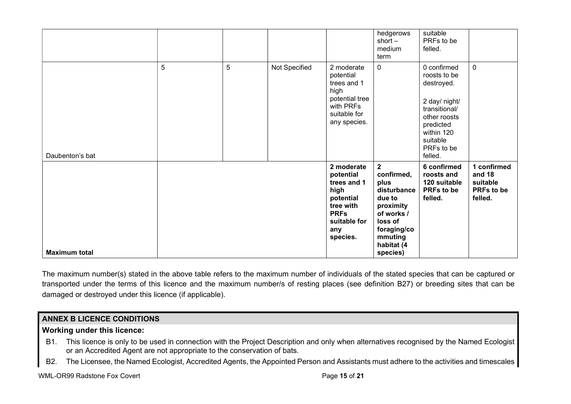|                      |   |   |               |                                                                                                                            | hedgerows<br>short $-$<br>medium<br>term                                                                                                                         | suitable<br>PRFs to be<br>felled.                                                                                                                           |                                                            |
|----------------------|---|---|---------------|----------------------------------------------------------------------------------------------------------------------------|------------------------------------------------------------------------------------------------------------------------------------------------------------------|-------------------------------------------------------------------------------------------------------------------------------------------------------------|------------------------------------------------------------|
| Daubenton's bat      | 5 | 5 | Not Specified | 2 moderate<br>potential<br>trees and 1<br>high<br>potential tree<br>with PRFs<br>suitable for<br>any species.              | 0                                                                                                                                                                | 0 confirmed<br>roosts to be<br>destroyed.<br>2 day/ night/<br>transitional/<br>other roosts<br>predicted<br>within 120<br>suitable<br>PRFs to be<br>felled. | $\mathbf 0$                                                |
| <b>Maximum total</b> |   |   |               | 2 moderate<br>potential<br>trees and 1<br>high<br>potential<br>tree with<br><b>PRFs</b><br>suitable for<br>any<br>species. | $\overline{\mathbf{2}}$<br>confirmed,<br>plus<br>disturbance<br>due to<br>proximity<br>of works /<br>loss of<br>foraging/co<br>mmuting<br>habitat (4<br>species) | 6 confirmed<br>roosts and<br>120 suitable<br>PRFs to be<br>felled.                                                                                          | 1 confirmed<br>and 18<br>suitable<br>PRFs to be<br>felled. |

The maximum number(s) stated in the above table refers to the maximum number of individuals of the stated species that can be captured or transported under the terms of this licence and the maximum number/s of resting places (see definition B27) or breeding sites that can be damaged or destroyed under this licence (if applicable).

## ANNEX B LICENCE CONDITIONS

## Working under this licence:

- B1. This licence is only to be used in connection with the Project Description and only when alternatives recognised by the Named Ecologist or an Accredited Agent are not appropriate to the conservation of bats.
- B2. The Licensee, the Named Ecologist, Accredited Agents, the Appointed Person and Assistants must adhere to the activities and timescales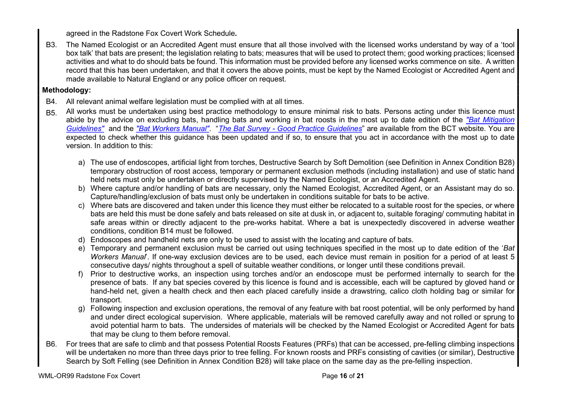agreed in the Radstone Fox Covert Work Schedule.

B3. The Named Ecologist or an Accredited Agent must ensure that all those involved with the licensed works understand by way of a 'tool box talk' that bats are present; the legislation relating to bats; measures that will be used to protect them; good working practices; licensed activities and what to do should bats be found. This information must be provided before any licensed works commence on site. A written record that this has been undertaken, and that it covers the above points, must be kept by the Named Ecologist or Accredited Agent and made available to Natural England or any police officer on request.

## Methodology:

- B4. All relevant animal welfare legislation must be complied with at all times.
- B<sub>5</sub>. All works must be undertaken using best practice methodology to ensure minimal risk to bats. Persons acting under this licence must abide by the advice on excluding bats, handling bats and working in bat roosts in the most up to date edition of the "Bat Mitigation Guidelines" and the "Bat Workers Manual". "The Bat Survey - Good Practice Guidelines" are available from the BCT website. You are expected to check whether this guidance has been updated and if so, to ensure that you act in accordance with the most up to date version. In addition to this:
	- a) The use of endoscopes, artificial light from torches, Destructive Search by Soft Demolition (see Definition in Annex Condition B28) temporary obstruction of roost access, temporary or permanent exclusion methods (including installation) and use of static hand held nets must only be undertaken or directly supervised by the Named Ecologist, or an Accredited Agent.
	- b) Where capture and/or handling of bats are necessary, only the Named Ecologist, Accredited Agent, or an Assistant may do so. Capture/handling/exclusion of bats must only be undertaken in conditions suitable for bats to be active.
	- c) Where bats are discovered and taken under this licence they must either be relocated to a suitable roost for the species, or where bats are held this must be done safely and bats released on site at dusk in, or adjacent to, suitable foraging/ commuting habitat in safe areas within or directly adjacent to the pre-works habitat. Where a bat is unexpectedly discovered in adverse weather conditions, condition B14 must be followed.
	- d) Endoscopes and handheld nets are only to be used to assist with the locating and capture of bats.
	- e) Temporary and permanent exclusion must be carried out using techniques specified in the most up to date edition of the 'Bat Workers Manual'. If one-way exclusion devices are to be used, each device must remain in position for a period of at least 5 consecutive days/ nights throughout a spell of suitable weather conditions, or longer until these conditions prevail.
	- f) Prior to destructive works, an inspection using torches and/or an endoscope must be performed internally to search for the presence of bats. If any bat species covered by this licence is found and is accessible, each will be captured by gloved hand or hand-held net, given a health check and then each placed carefully inside a drawstring, calico cloth holding bag or similar for transport.
	- g) Following inspection and exclusion operations, the removal of any feature with bat roost potential, will be only performed by hand and under direct ecological supervision. Where applicable, materials will be removed carefully away and not rolled or sprung to avoid potential harm to bats. The undersides of materials will be checked by the Named Ecologist or Accredited Agent for bats that may be clung to them before removal.
- B6. For trees that are safe to climb and that possess Potential Roosts Features (PRFs) that can be accessed, pre-felling climbing inspections will be undertaken no more than three days prior to tree felling. For known roosts and PRFs consisting of cavities (or similar), Destructive Search by Soft Felling (see Definition in Annex Condition B28) will take place on the same day as the pre-felling inspection.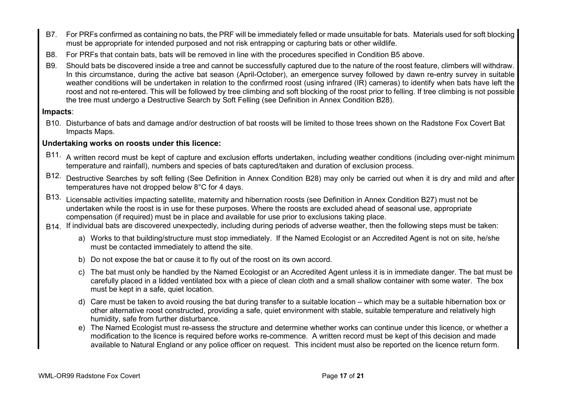- B7. For PRFs confirmed as containing no bats, the PRF will be immediately felled or made unsuitable for bats. Materials used for soft blocking must be appropriate for intended purposed and not risk entrapping or capturing bats or other wildlife.
- B8. For PRFs that contain bats, bats will be removed in line with the procedures specified in Condition B5 above.
- B9. Should bats be discovered inside a tree and cannot be successfully captured due to the nature of the roost feature, climbers will withdraw. In this circumstance, during the active bat season (April-October), an emergence survey followed by dawn re-entry survey in suitable weather conditions will be undertaken in relation to the confirmed roost (using infrared (IR) cameras) to identify when bats have left the roost and not re-entered. This will be followed by tree climbing and soft blocking of the roost prior to felling. If tree climbing is not possible the tree must undergo a Destructive Search by Soft Felling (see Definition in Annex Condition B28).

## Impacts:

B10. Disturbance of bats and damage and/or destruction of bat roosts will be limited to those trees shown on the Radstone Fox Covert Bat Impacts Maps.

## Undertaking works on roosts under this licence:

- B11. A written record must be kept of capture and exclusion efforts undertaken, including weather conditions (including over-night minimum temperature and rainfall), numbers and species of bats captured/taken and duration of exclusion process.
- B12. Destructive Searches by soft felling (See Definition in Annex Condition B28) may only be carried out when it is dry and mild and after temperatures have not dropped below 8°C for 4 days.
- B13. Licensable activities impacting satellite, maternity and hibernation roosts (see Definition in Annex Condition B27) must not be undertaken while the roost is in use for these purposes. Where the roosts are excluded ahead of seasonal use, appropriate compensation (if required) must be in place and available for use prior to exclusions taking place.
- B<sub>14</sub>. If individual bats are discovered unexpectedly, including during periods of adverse weather, then the following steps must be taken:
	- a) Works to that building/structure must stop immediately. If the Named Ecologist or an Accredited Agent is not on site, he/she must be contacted immediately to attend the site.
	- b) Do not expose the bat or cause it to fly out of the roost on its own accord.
	- c) The bat must only be handled by the Named Ecologist or an Accredited Agent unless it is in immediate danger. The bat must be carefully placed in a lidded ventilated box with a piece of clean cloth and a small shallow container with some water. The box must be kept in a safe, quiet location.
	- d) Care must be taken to avoid rousing the bat during transfer to a suitable location which may be a suitable hibernation box or other alternative roost constructed, providing a safe, quiet environment with stable, suitable temperature and relatively high humidity, safe from further disturbance.
	- e) The Named Ecologist must re-assess the structure and determine whether works can continue under this licence, or whether a modification to the licence is required before works re-commence. A written record must be kept of this decision and made available to Natural England or any police officer on request. This incident must also be reported on the licence return form.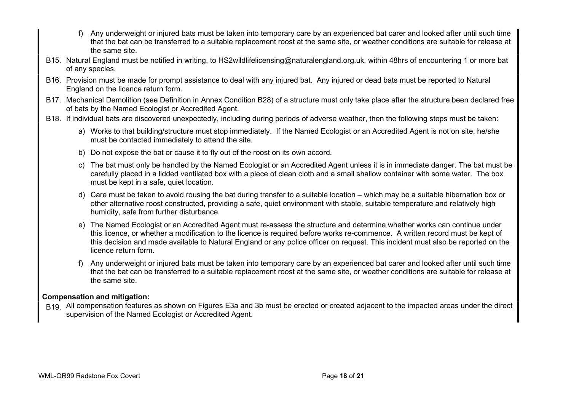- f) Any underweight or injured bats must be taken into temporary care by an experienced bat carer and looked after until such time that the bat can be transferred to a suitable replacement roost at the same site, or weather conditions are suitable for release at the same site.
- B15. Natural England must be notified in writing, to HS2wildlifelicensing@naturalengland.org.uk, within 48hrs of encountering 1 or more bat of any species.
- B16. Provision must be made for prompt assistance to deal with any injured bat. Any injured or dead bats must be reported to Natural England on the licence return form.
- B17. Mechanical Demolition (see Definition in Annex Condition B28) of a structure must only take place after the structure been declared free of bats by the Named Ecologist or Accredited Agent.
- B18. If individual bats are discovered unexpectedly, including during periods of adverse weather, then the following steps must be taken:
	- a) Works to that building/structure must stop immediately. If the Named Ecologist or an Accredited Agent is not on site, he/she must be contacted immediately to attend the site.
	- b) Do not expose the bat or cause it to fly out of the roost on its own accord.
	- c) The bat must only be handled by the Named Ecologist or an Accredited Agent unless it is in immediate danger. The bat must be carefully placed in a lidded ventilated box with a piece of clean cloth and a small shallow container with some water. The box must be kept in a safe, quiet location.
	- d) Care must be taken to avoid rousing the bat during transfer to a suitable location which may be a suitable hibernation box or other alternative roost constructed, providing a safe, quiet environment with stable, suitable temperature and relatively high humidity, safe from further disturbance.
	- e) The Named Ecologist or an Accredited Agent must re-assess the structure and determine whether works can continue under this licence, or whether a modification to the licence is required before works re-commence. A written record must be kept of this decision and made available to Natural England or any police officer on request. This incident must also be reported on the licence return form.
	- f) Any underweight or injured bats must be taken into temporary care by an experienced bat carer and looked after until such time that the bat can be transferred to a suitable replacement roost at the same site, or weather conditions are suitable for release at the same site.

## Compensation and mitigation:

B<sub>19</sub>. All compensation features as shown on Figures E3a and 3b must be erected or created adjacent to the impacted areas under the direct supervision of the Named Ecologist or Accredited Agent.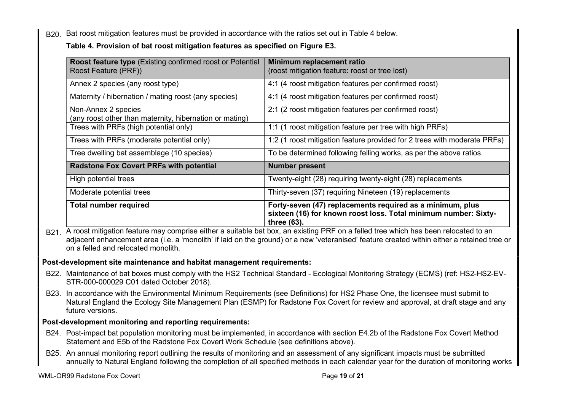B20. Bat roost mitigation features must be provided in accordance with the ratios set out in Table 4 below.

## Table 4. Provision of bat roost mitigation features as specified on Figure E3.

| <b>Roost feature type (Existing confirmed roost or Potential</b><br>Roost Feature (PRF)) | Minimum replacement ratio<br>(roost mitigation feature: roost or tree lost)                                                                 |
|------------------------------------------------------------------------------------------|---------------------------------------------------------------------------------------------------------------------------------------------|
| Annex 2 species (any roost type)                                                         | 4:1 (4 roost mitigation features per confirmed roost)                                                                                       |
| Maternity / hibernation / mating roost (any species)                                     | 4:1 (4 roost mitigation features per confirmed roost)                                                                                       |
| Non-Annex 2 species<br>(any roost other than maternity, hibernation or mating)           | 2:1 (2 roost mitigation features per confirmed roost)                                                                                       |
| Trees with PRFs (high potential only)                                                    | 1:1 (1 roost mitigation feature per tree with high PRFs)                                                                                    |
| Trees with PRFs (moderate potential only)                                                | 1:2 (1 roost mitigation feature provided for 2 trees with moderate PRFs)                                                                    |
| Tree dwelling bat assemblage (10 species)                                                | To be determined following felling works, as per the above ratios.                                                                          |
| <b>Radstone Fox Covert PRFs with potential</b>                                           | <b>Number present</b>                                                                                                                       |
| High potential trees                                                                     | Twenty-eight (28) requiring twenty-eight (28) replacements                                                                                  |
| Moderate potential trees                                                                 | Thirty-seven (37) requiring Nineteen (19) replacements                                                                                      |
| <b>Total number required</b>                                                             | Forty-seven (47) replacements required as a minimum, plus<br>sixteen (16) for known roost loss. Total minimum number: Sixty-<br>three (63). |

B<sub>21</sub>. A roost mitigation feature may comprise either a suitable bat box, an existing PRF on a felled tree which has been relocated to an adjacent enhancement area (i.e. a 'monolith' if laid on the ground) or a new 'veteranised' feature created within either a retained tree or on a felled and relocated monolith.

## Post-development site maintenance and habitat management requirements:

- B22. Maintenance of bat boxes must comply with the HS2 Technical Standard Ecological Monitoring Strategy (ECMS) (ref: HS2-HS2-EV-STR-000-000029 C01 dated October 2018).
- B23. In accordance with the Environmental Minimum Requirements (see Definitions) for HS2 Phase One, the licensee must submit to Natural England the Ecology Site Management Plan (ESMP) for Radstone Fox Covert for review and approval, at draft stage and any future versions.

## Post-development monitoring and reporting requirements:

- B24. Post-impact bat population monitoring must be implemented, in accordance with section E4.2b of the Radstone Fox Covert Method Statement and E5b of the Radstone Fox Covert Work Schedule (see definitions above).
- B25. An annual monitoring report outlining the results of monitoring and an assessment of any significant impacts must be submitted annually to Natural England following the completion of all specified methods in each calendar year for the duration of monitoring works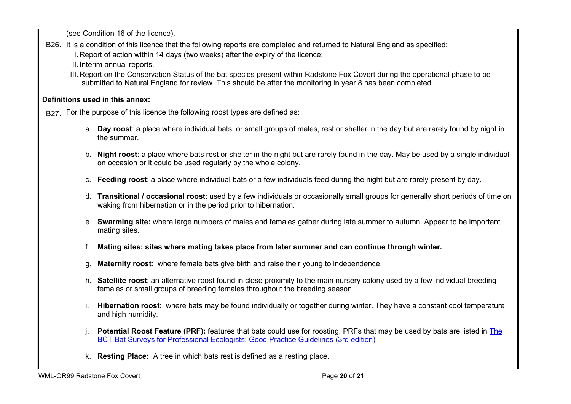(see Condition 16 of the licence).

- B26. It is a condition of this licence that the following reports are completed and returned to Natural England as specified:
	- I. Report of action within 14 days (two weeks) after the expiry of the licence;
	- II. Interim annual reports.
	- III. Report on the Conservation Status of the bat species present within Radstone Fox Covert during the operational phase to be submitted to Natural England for review. This should be after the monitoring in year 8 has been completed.

## Definitions used in this annex:

B<sub>27</sub>. For the purpose of this licence the following roost types are defined as:

- a. Day roost: a place where individual bats, or small groups of males, rest or shelter in the day but are rarely found by night in the summer.
- b. Night roost: a place where bats rest or shelter in the night but are rarely found in the day. May be used by a single individual on occasion or it could be used regularly by the whole colony.
- c. Feeding roost: a place where individual bats or a few individuals feed during the night but are rarely present by day.
- d. Transitional / occasional roost: used by a few individuals or occasionally small groups for generally short periods of time on waking from hibernation or in the period prior to hibernation.
- e. Swarming site: where large numbers of males and females gather during late summer to autumn. Appear to be important mating sites.
- f. Mating sites: sites where mating takes place from later summer and can continue through winter.
- g. Maternity roost: where female bats give birth and raise their young to independence.
- h. Satellite roost: an alternative roost found in close proximity to the main nursery colony used by a few individual breeding females or small groups of breeding females throughout the breeding season.
- i. Hibernation roost: where bats may be found individually or together during winter. They have a constant cool temperature and high humidity.
- Potential Roost Feature (PRF): features that bats could use for roosting. PRFs that may be used by bats are listed in The BCT Bat Surveys for Professional Ecologists: Good Practice Guidelines (3rd edition)
- k. Resting Place: A tree in which bats rest is defined as a resting place.